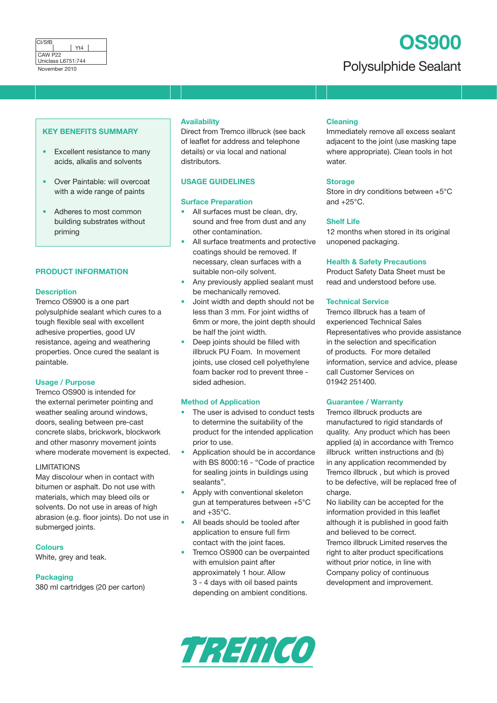# **OS900**

<u>Uniclass L6751:744</u><br>November 2010 **Polysulphide Sealant** 

#### **KEY BENEFITS SUMMARY**

- Excellent resistance to many acids, alkalis and solvents
- Over Paintable: will overcoat with a wide range of paints
- Adheres to most common building substrates without priming

#### **PRODUCT INFORMATION**

#### **Description**

Tremco OS900 is a one part polysulphide sealant which cures to a tough flexible seal with excellent adhesive properties, good UV resistance, ageing and weathering properties. Once cured the sealant is paintable.

# **Usage / Purpose**

Tremco OS900 is intended for the external perimeter pointing and weather sealing around windows, doors, sealing between pre-cast concrete slabs, brickwork, blockwork and other masonry movement joints where moderate movement is expected.

#### LIMITATIONS

May discolour when in contact with bitumen or asphalt. Do not use with materials, which may bleed oils or solvents. Do not use in areas of high abrasion (e.g. floor joints). Do not use in submerged joints.

## **Colours**

White, grey and teak.

**Packaging** 380 ml cartridges (20 per carton)

# **Availability**

Direct from Tremco illbruck (see back of leaflet for address and telephone details) or via local and national distributors.

# **USAGE GUIDELINES**

#### **Surface Preparation**

- All surfaces must be clean, dry, sound and free from dust and any other contamination.
- All surface treatments and protective coatings should be removed. If necessary, clean surfaces with a suitable non-oily solvent.
- Any previously applied sealant must be mechanically removed.
- Joint width and depth should not be less than 3 mm. For joint widths of 6mm or more, the joint depth should be half the joint width.
- Deep joints should be filled with illbruck PU Foam. In movement joints, use closed cell polyethylene foam backer rod to prevent three sided adhesion.

#### **Method of Application**

- The user is advised to conduct tests to determine the suitability of the product for the intended application prior to use.
- Application should be in accordance with BS 8000:16 - "Code of practice for sealing joints in buildings using sealants".
- Apply with conventional skeleton gun at temperatures between +5°C and  $+35^{\circ}$ C.
- All beads should be tooled after application to ensure full firm contact with the joint faces.
- Tremco OS900 can be overpainted with emulsion paint after approximately 1 hour. Allow 3 - 4 days with oil based paints depending on ambient conditions.

## **Cleaning**

Immediately remove all excess sealant adjacent to the joint (use masking tape where appropriate). Clean tools in hot water.

#### **Storage**

Store in dry conditions between +5°C and  $+25^{\circ}$ C.

# **Shelf Life**

12 months when stored in its original unopened packaging.

#### **Health & Safety Precautions**

Product Safety Data Sheet must be read and understood before use.

#### **Technical Service**

Tremco illbruck has a team of experienced Technical Sales Representatives who provide assistance in the selection and specification of products. For more detailed information, service and advice, please call Customer Services on 01942 251400.

#### **Guarantee / Warranty**

Tremco illbruck products are manufactured to rigid standards of quality. Any product which has been applied (a) in accordance with Tremco illbruck written instructions and (b) in any application recommended by Tremco illbruck , but which is proved to be defective, will be replaced free of charge.

No liability can be accepted for the information provided in this leaflet although it is published in good faith and believed to be correct. Tremco illbruck Limited reserves the right to alter product specifications without prior notice, in line with Company policy of continuous development and improvement.